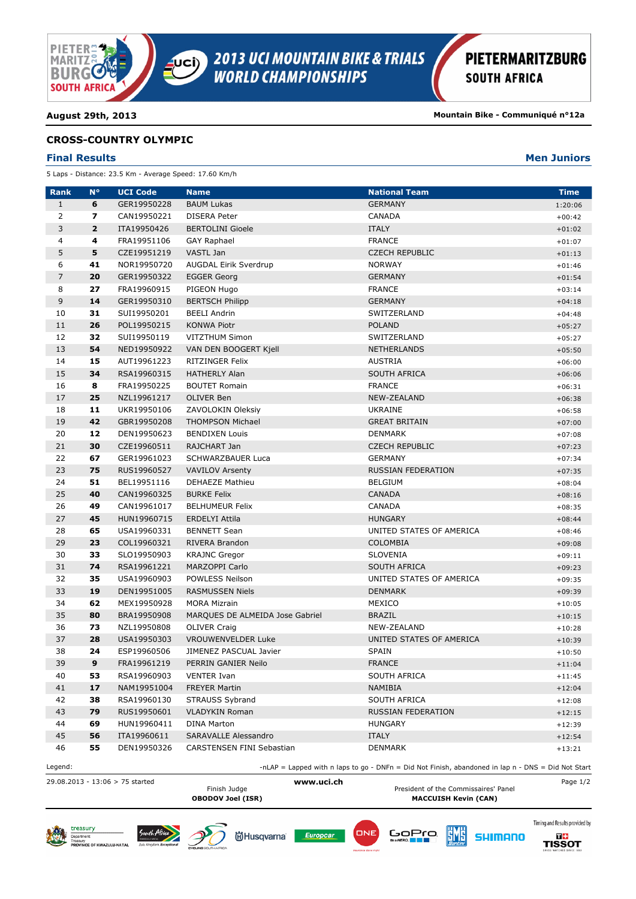

**August 29th, 2013 Mountain Bike - Communiqué n°12a**

### **CROSS-COUNTRY OLYMPIC**

### **Final Results Men Juniors**

5 Laps - Distance: 23.5 Km - Average Speed: 17.60 Km/h

| <b>Rank</b>    | $N^{\circ}$  | <b>UCI Code</b> | <b>Name</b>                     | <b>National Team</b>                                                                               | <b>Time</b> |
|----------------|--------------|-----------------|---------------------------------|----------------------------------------------------------------------------------------------------|-------------|
| $\mathbf{1}$   | 6            | GER19950228     | <b>BAUM Lukas</b>               | <b>GERMANY</b>                                                                                     | 1:20:06     |
| 2              | 7            | CAN19950221     | <b>DISERA Peter</b>             | <b>CANADA</b>                                                                                      | $+00:42$    |
| 3              | $\mathbf{2}$ | ITA19950426     | <b>BERTOLINI Gioele</b>         | <b>ITALY</b>                                                                                       | $+01:02$    |
| 4              | 4            | FRA19951106     | <b>GAY Raphael</b>              | <b>FRANCE</b>                                                                                      | $+01:07$    |
| 5              | 5            | CZE19951219     | VASTL Jan                       | <b>CZECH REPUBLIC</b>                                                                              | $+01:13$    |
| 6              | 41           | NOR19950720     | AUGDAL Eirik Sverdrup           | <b>NORWAY</b>                                                                                      | $+01:46$    |
| $\overline{7}$ | 20           | GER19950322     | <b>EGGER Georg</b>              | <b>GERMANY</b>                                                                                     | $+01:54$    |
| 8              | 27           | FRA19960915     | PIGEON Hugo                     | <b>FRANCE</b>                                                                                      | $+03:14$    |
| 9              | 14           | GER19950310     | <b>BERTSCH Philipp</b>          | <b>GERMANY</b>                                                                                     | $+04:18$    |
| 10             | 31           | SUI19950201     | <b>BEELI Andrin</b>             | SWITZERLAND                                                                                        | $+04:48$    |
| 11             | 26           | POL19950215     | <b>KONWA Piotr</b>              | <b>POLAND</b>                                                                                      | $+05:27$    |
| 12             | 32           | SUI19950119     | <b>VITZTHUM Simon</b>           | SWITZERLAND                                                                                        | $+05:27$    |
| 13             | 54           | NED19950922     | VAN DEN BOOGERT Kjell           | NETHERLANDS                                                                                        | $+05:50$    |
| 14             | 15           | AUT19961223     | RITZINGER Felix                 | <b>AUSTRIA</b>                                                                                     | $+06:00$    |
| 15             | 34           | RSA19960315     | <b>HATHERLY Alan</b>            | SOUTH AFRICA                                                                                       |             |
| 16             | 8            | FRA19950225     | <b>BOUTET Romain</b>            | <b>FRANCE</b>                                                                                      | $+06:06$    |
| 17             | 25           | NZL19961217     | <b>OLIVER Ben</b>               | NEW-ZEALAND                                                                                        | $+06:31$    |
|                | 11           |                 |                                 | <b>UKRAINE</b>                                                                                     | $+06:38$    |
| 18             | 42           | UKR19950106     | ZAVOLOKIN Oleksiy               |                                                                                                    | $+06:58$    |
| 19             |              | GBR19950208     | <b>THOMPSON Michael</b>         | <b>GREAT BRITAIN</b>                                                                               | $+07:00$    |
| 20             | 12           | DEN19950623     | <b>BENDIXEN Louis</b>           | <b>DENMARK</b>                                                                                     | $+07:08$    |
| 21             | 30           | CZE19960511     | RAJCHART Jan                    | <b>CZECH REPUBLIC</b>                                                                              | $+07:23$    |
| 22             | 67           | GER19961023     | <b>SCHWARZBAUER Luca</b>        | <b>GERMANY</b>                                                                                     | $+07:34$    |
| 23             | 75           | RUS19960527     | <b>VAVILOV Arsenty</b>          | <b>RUSSIAN FEDERATION</b>                                                                          | $+07:35$    |
| 24             | 51           | BEL19951116     | <b>DEHAEZE Mathieu</b>          | <b>BELGIUM</b>                                                                                     | $+08:04$    |
| 25             | 40           | CAN19960325     | <b>BURKE Felix</b>              | <b>CANADA</b>                                                                                      | $+08:16$    |
| 26             | 49           | CAN19961017     | <b>BELHUMEUR Felix</b>          | <b>CANADA</b>                                                                                      | $+08:35$    |
| 27             | 45           | HUN19960715     | ERDELYI Attila                  | <b>HUNGARY</b>                                                                                     | $+08:44$    |
| 28             | 65           | USA19960331     | <b>BENNETT Sean</b>             | UNITED STATES OF AMERICA                                                                           | $+08:46$    |
| 29             | 23           | COL19960321     | RIVERA Brandon                  | <b>COLOMBIA</b>                                                                                    | $+09:08$    |
| 30             | 33           | SLO19950903     | <b>KRAJNC Gregor</b>            | <b>SLOVENIA</b>                                                                                    | $+09:11$    |
| 31             | 74           | RSA19961221     | MARZOPPI Carlo                  | <b>SOUTH AFRICA</b>                                                                                | $+09:23$    |
| 32             | 35           | USA19960903     | POWLESS Neilson                 | UNITED STATES OF AMERICA                                                                           | $+09:35$    |
| 33             | 19           | DEN19951005     | <b>RASMUSSEN Niels</b>          | <b>DENMARK</b>                                                                                     | $+09:39$    |
| 34             | 62           | MEX19950928     | <b>MORA Mizrain</b>             | MEXICO                                                                                             | $+10:05$    |
| 35             | 80           | BRA19950908     | MARQUES DE ALMEIDA Jose Gabriel | <b>BRAZIL</b>                                                                                      | $+10:15$    |
| 36             | 73           | NZL19950808     | <b>OLIVER Craig</b>             | NEW-ZEALAND                                                                                        | $+10:28$    |
| 37             | 28           | USA19950303     | <b>VROUWENVELDER Luke</b>       | UNITED STATES OF AMERICA                                                                           | $+10:39$    |
| 38             | 24           | ESP19960506     | JIMENEZ PASCUAL Javier          | <b>SPAIN</b>                                                                                       | $+10:50$    |
| 39             | 9            | FRA19961219     | PERRIN GANIER Neilo             | <b>FRANCE</b>                                                                                      | $+11:04$    |
| 40             | 53           | RSA19960903     | <b>VENTER Ivan</b>              | <b>SOUTH AFRICA</b>                                                                                | $+11:45$    |
| 41             | 17           | NAM19951004     | <b>FREYER Martin</b>            | NAMIBIA                                                                                            | $+12:04$    |
| 42             | 38           | RSA19960130     | <b>STRAUSS Sybrand</b>          | SOUTH AFRICA                                                                                       | $+12:08$    |
| 43             | 79           | RUS19950601     | <b>VLADYKIN Roman</b>           | RUSSIAN FEDERATION                                                                                 | $+12:15$    |
| 44             | 69           | HUN19960411     | <b>DINA Marton</b>              | <b>HUNGARY</b>                                                                                     | $+12:39$    |
| 45             | 56           | ITA19960611     | <b>SARAVALLE Alessandro</b>     | <b>ITALY</b>                                                                                       | $+12:54$    |
| 46             | 55           | DEN19950326     | CARSTENSEN FINI Sebastian       | <b>DENMARK</b>                                                                                     | $+13:21$    |
| Legend:        |              |                 |                                 | -nLAP = Lapped with n laps to go - DNFn = Did Not Finish, abandoned in lap n - DNS = Did Not Start |             |

29.08.2013 - 13:06 > 75 started **www.uci.ch** Page 1/2 Finish Judge **President of the Commissaires' Panel**<br>
President of the Commissaires' Panel<br>
MACCUISH Kevin (CAN)

Go<u>Pro</u>

ËMË

**MACCUISH Kevin (CAN)** 

**SHIMANO** 

Timing and Results provided by

**DE**<br>TISSOT







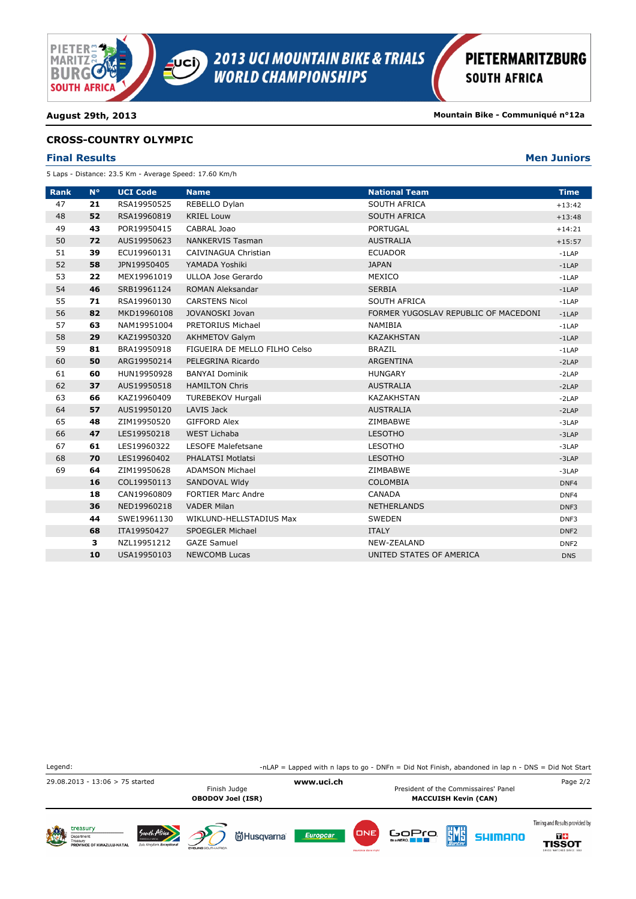

**August 29th, 2013 Mountain Bike - Communiqué n°12a**

### **CROSS-COUNTRY OLYMPIC**

### **Final Results Men Juniors**

5 Laps - Distance: 23.5 Km - Average Speed: 17.60 Km/h

| <b>Rank</b> | $N^{\circ}$ | <b>UCI Code</b> | <b>Name</b>                   | <b>National Team</b>                 | <b>Time</b>      |
|-------------|-------------|-----------------|-------------------------------|--------------------------------------|------------------|
| 47          | 21          | RSA19950525     | REBELLO Dylan                 | SOUTH AFRICA                         | $+13:42$         |
| 48          | 52          | RSA19960819     | <b>KRIEL Louw</b>             | <b>SOUTH AFRICA</b>                  | $+13:48$         |
| 49          | 43          | POR19950415     | CABRAL Joao                   | <b>PORTUGAL</b>                      | $+14:21$         |
| 50          | 72          | AUS19950623     | <b>NANKERVIS Tasman</b>       | <b>AUSTRALIA</b>                     | $+15:57$         |
| 51          | 39          | ECU19960131     | CAIVINAGUA Christian          | <b>ECUADOR</b>                       | $-1$ LAP         |
| 52          | 58          | JPN19950405     | YAMADA Yoshiki                | <b>JAPAN</b>                         | $-1$ LAP         |
| 53          | 22          | MEX19961019     | ULLOA Jose Gerardo            | MEXICO                               | $-1$ LAP         |
| 54          | 46          | SRB19961124     | <b>ROMAN Aleksandar</b>       | <b>SERBIA</b>                        | $-1$ LAP         |
| 55          | 71          | RSA19960130     | <b>CARSTENS Nicol</b>         | <b>SOUTH AFRICA</b>                  | $-1$ LAP         |
| 56          | 82          | MKD19960108     | JOVANOSKI Jovan               | FORMER YUGOSLAV REPUBLIC OF MACEDONI | $-1LAP$          |
| 57          | 63          | NAM19951004     | PRETORIUS Michael             | <b>NAMIBIA</b>                       | $-1$ LAP         |
| 58          | 29          | KAZ19950320     | <b>AKHMETOV Galym</b>         | <b>KAZAKHSTAN</b>                    | $-1$ LAP         |
| 59          | 81          | BRA19950918     | FIGUEIRA DE MELLO FILHO Celso | <b>BRAZIL</b>                        | $-1$ LAP         |
| 60          | 50          | ARG19950214     | PELEGRINA Ricardo             | ARGENTINA                            | $-2LAP$          |
| 61          | 60          | HUN19950928     | <b>BANYAI Dominik</b>         | <b>HUNGARY</b>                       | $-2LAP$          |
| 62          | 37          | AUS19950518     | <b>HAMILTON Chris</b>         | <b>AUSTRALIA</b>                     | $-2LAP$          |
| 63          | 66          | KAZ19960409     | <b>TUREBEKOV Hurgali</b>      | <b>KAZAKHSTAN</b>                    | $-2LAP$          |
| 64          | 57          | AUS19950120     | LAVIS Jack                    | <b>AUSTRALIA</b>                     | $-2LAP$          |
| 65          | 48          | ZIM19950520     | <b>GIFFORD Alex</b>           | ZIMBABWE                             | $-3LAP$          |
| 66          | 47          | LES19950218     | <b>WEST Lichaba</b>           | <b>LESOTHO</b>                       | $-3LAP$          |
| 67          | 61          | LES19960322     | <b>LESOFE Malefetsane</b>     | <b>LESOTHO</b>                       | $-3LAP$          |
| 68          | 70          | LES19960402     | <b>PHALATSI Motlatsi</b>      | <b>LESOTHO</b>                       | $-3LAP$          |
| 69          | 64          | ZIM19950628     | <b>ADAMSON Michael</b>        | ZIMBABWE                             | $-3LAP$          |
|             | 16          | COL19950113     | SANDOVAL WIdy                 | <b>COLOMBIA</b>                      | DNF4             |
|             | 18          | CAN19960809     | <b>FORTIER Marc Andre</b>     | CANADA                               | DNF4             |
|             | 36          | NED19960218     | <b>VADER Milan</b>            | <b>NETHERLANDS</b>                   | DNF3             |
|             | 44          | SWE19961130     | WIKLUND-HELLSTADIUS Max       | <b>SWEDEN</b>                        | DNF3             |
|             | 68          | ITA19950427     | SPOEGLER Michael              | <b>ITALY</b>                         | DNF <sub>2</sub> |
|             | з           | NZL19951212     | <b>GAZE Samuel</b>            | NEW-ZEALAND                          | DNF <sub>2</sub> |
|             | 10          | USA19950103     | <b>NEWCOMB Lucas</b>          | UNITED STATES OF AMERICA             | <b>DNS</b>       |

Legend:  $-$ nLAP = Lapped with n laps to go - DNFn = Did Not Finish, abandoned in lap n - DNS = Did Not Start 29.08.2013 - 13:06 > 75 started **www.uci.ch** Page 2/2 Finish Judge **President of the Commissaires' Panel**<br>
President of the Commissaires' Panel<br>
MACCUISH Kevin (CAN) **MACCUISH Kevin (CAN)** Timing and Results provided by treasury South Afric ONE Go<u>Pro</u> ËMË **DE**<br>TISSOT **尚Husqvarna** Europcar **SHIMANO** Department:<br>Treasury<br>PROVINCE OF KWAZULU-NATA

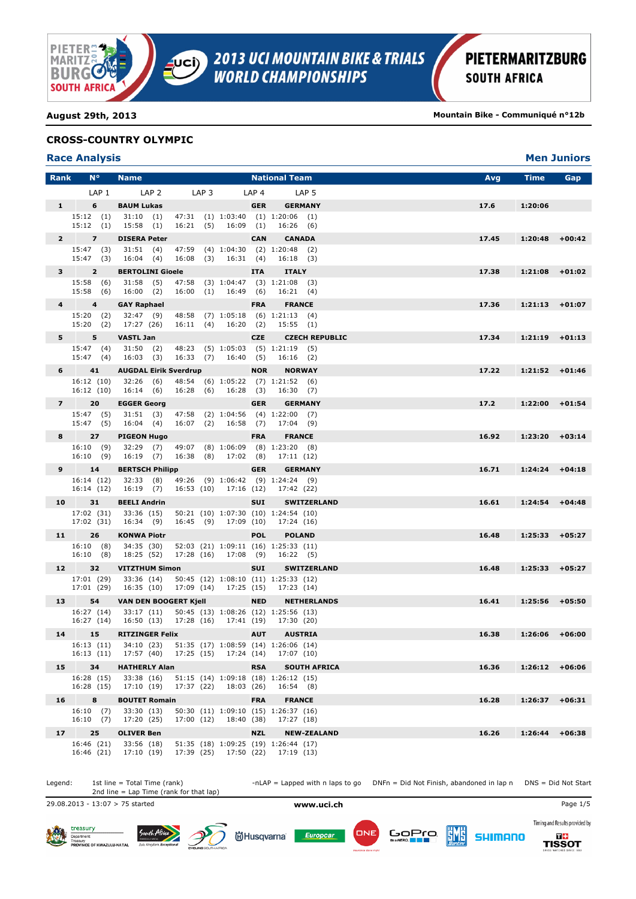

**August 29th, 2013 Mountain Bike - Communiqué n°12b**

## **CROSS-COUNTRY OLYMPIC**

| <b>Race Analysis</b> |  |  |
|----------------------|--|--|
|----------------------|--|--|

|                 | <b>Race Analysis</b>     |                                 |                                                        |                         |                  |                                                            |                            | <b>Men Juniors</b> |
|-----------------|--------------------------|---------------------------------|--------------------------------------------------------|-------------------------|------------------|------------------------------------------------------------|----------------------------|--------------------|
| <b>Rank</b>     | $N^{\circ}$              | <b>Name</b>                     |                                                        |                         |                  | <b>National Team</b>                                       | Time<br>Avg                | Gap                |
|                 | LAP <sub>1</sub>         | LAP <sub>2</sub>                | LAP <sub>3</sub>                                       |                         | LAP <sub>4</sub> | LAP <sub>5</sub>                                           |                            |                    |
| 1               | 6                        | <b>BAUM Lukas</b>               |                                                        |                         | <b>GER</b>       | <b>GERMANY</b>                                             | 17.6<br>1:20:06            |                    |
|                 | 15:12(1)<br>15:12(1)     | 31:10(1)<br>15:58(1)            | 16:21(5)                                               | $16:09$ (1)             |                  | 47:31 (1) 1:03:40 (1) 1:20:06 (1)<br>16:26(6)              |                            |                    |
| $\mathbf{2}$    | $\overline{z}$           | <b>DISERA Peter</b>             |                                                        |                         | <b>CAN</b>       | <b>CANADA</b>                                              | 17.45<br>1:20:48           | $+00:42$           |
|                 | 15:47 (3)<br>$15:47$ (3) | 31:51(4)<br>16:04(4)            |                                                        | 16:08 (3) 16:31 (4)     |                  | 47:59 (4) 1:04:30 (2) 1:20:48 (2)<br>16:18(3)              |                            |                    |
| 3 <sup>7</sup>  | $\overline{2}$           | <b>BERTOLINI Gioele</b>         |                                                        |                         | <b>ITA</b>       | <b>ITALY</b>                                               | 17.38<br>1:21:08           | $+01:02$           |
|                 | 15:58(6)<br>15:58(6)     | 31:58(5)<br>16:00(2)            |                                                        | 16:00 (1) 16:49 (6)     |                  | 47:58 (3) 1:04:47 (3) 1:21:08 (3)<br>16:21(4)              |                            |                    |
| 4               | $\overline{4}$           | <b>GAY Raphael</b>              |                                                        |                         | <b>FRA</b>       | <b>FRANCE</b>                                              | 17.36<br>$1:21:13$ +01:07  |                    |
|                 | 15:20 (2)<br>15:20(2)    | 32:47 (9)<br>17:27 (26)         |                                                        | $16:11$ (4) $16:20$ (2) |                  | 48:58 (7) 1:05:18 (6) 1:21:13 (4)<br>15:55(1)              |                            |                    |
| 5               | 5                        | <b>VASTL Jan</b>                |                                                        |                         | <b>CZE</b>       | <b>CZECH REPUBLIC</b>                                      | 17.34<br>$1:21:19$ +01:13  |                    |
|                 | 15:47 (4)<br>15:47(4)    | 31:50 (2)<br>16:03(3)           |                                                        | 16:33 (7) 16:40 (5)     |                  | 48:23 (5) 1:05:03 (5) 1:21:19 (5)<br>$16:16$ (2)           |                            |                    |
| $6 -$           | 41                       |                                 | <b>AUGDAL Eirik Sverdrup</b>                           |                         | <b>NOR</b>       | <b>NORWAY</b>                                              | 17.22<br>$1:21:52$ +01:46  |                    |
|                 | 16:12(10)<br>16:12(10)   | 32:26 (6)<br>16:14 (6)          | 16:28 (6) 16:28 (3)                                    |                         |                  | 48:54 (6) 1:05:22 (7) 1:21:52 (6)<br>16:30(7)              |                            |                    |
| $7^{\circ}$     | 20                       | <b>EGGER Georg</b>              |                                                        |                         | <b>GER</b>       | <b>GERMANY</b>                                             | 17.2<br>$1:22:00$ +01:54   |                    |
|                 | 15:47 (5)<br>15:47(5)    | 31:51(3)<br>16:04(4)            |                                                        | 16:07 (2) 16:58 (7)     |                  | 47:58 (2) 1:04:56 (4) 1:22:00 (7)<br>17:04(9)              |                            |                    |
| 8               | 27                       | <b>PIGEON Hugo</b>              |                                                        |                         | <b>FRA</b>       | <b>FRANCE</b>                                              | $1:23:20$ +03:14<br>16.92  |                    |
|                 | 16:10(9)<br>16:10(9)     | $16:19$ (7)                     | 32:29 (7) 49:07 (8) 1:06:09 (8) 1:23:20 (8)            | 16:38 (8) 17:02 (8)     |                  | 17:11 (12)                                                 |                            |                    |
| 9               | 14                       | <b>BERTSCH Philipp</b>          |                                                        |                         | <b>GER</b>       | <b>GERMANY</b>                                             | 16.71<br>1:24:24           | $+04:18$           |
|                 | 16:14 (12)<br>16:14(12)  | 32:33 (8)<br>16:19 (7)          |                                                        | 16:53 (10) 17:16 (12)   |                  | 49:26 (9) 1:06:42 (9) 1:24:24 (9)<br>17:42 (22)            |                            |                    |
| 10              | 31                       | <b>BEELI Andrin</b>             |                                                        |                         | <b>SUI</b>       | <b>SWITZERLAND</b>                                         | 16.61<br>1:24:54           | $+04:48$           |
|                 | 17:02 (31)<br>17:02 (31) | 33:36 (15)<br>16:34 (9)         |                                                        | 16:45 (9) 17:09 (10)    |                  | 50:21 (10) 1:07:30 (10) 1:24:54 (10)<br>17:24 (16)         |                            |                    |
| 11              | 26                       | <b>KONWA Piotr</b>              |                                                        |                         | <b>POL</b>       | <b>POLAND</b>                                              | $1:25:33 + 05:27$<br>16.48 |                    |
|                 | 16:10(8)<br>16:10(8)     | 34:35 (30)<br>18:25 (52)        |                                                        | 17:28 (16) 17:08 (9)    |                  | 52:03 (21) 1:09:11 (16) 1:25:33 (11)<br>16:22(5)           |                            |                    |
| 12 <sub>2</sub> | 32                       | <b>VITZTHUM Simon</b>           |                                                        |                         | <b>SUI</b>       | <b>SWITZERLAND</b>                                         | 16.48<br>$1:25:33 + 05:27$ |                    |
|                 | 17:01 (29)<br>17:01 (29) | 33:36 (14)<br>16:35 (10)        | 17:09 (14) 17:25 (15)                                  |                         |                  | 50:45 (12) 1:08:10 (11) 1:25:33 (12)<br>17:23 (14)         |                            |                    |
| 13              | 54                       |                                 | <b>VAN DEN BOOGERT Kjell</b>                           |                         | <b>NED</b>       | <b>NETHERLANDS</b>                                         | 16.41<br>$1:25:56$ +05:50  |                    |
|                 | 16:27 (14)               | 33:17 (11)                      | 16:27 (14) 16:50 (13) 17:28 (16) 17:41 (19) 17:30 (20) |                         |                  | 50:45 (13) 1:08:26 (12) 1:25:56 (13)                       |                            |                    |
|                 |                          | 15 RITZINGER Felix              |                                                        |                         |                  | AUT AUSTRIA                                                | $1:26:06$ +06:00<br>16.38  |                    |
|                 | 16:13(11)<br>16:13(11)   | 34:10 (23)<br>17:57 (40)        | 17:25 (15) 17:24 (14)                                  |                         |                  | 51:35 (17) 1:08:59 (14) 1:26:06 (14)<br>17:07 (10)         |                            |                    |
| 15              | 34                       | <b>HATHERLY Alan</b>            |                                                        |                         | <b>RSA</b>       | <b>SOUTH AFRICA</b>                                        | 16.36<br>$1:26:12$ +06:06  |                    |
|                 | 16:28 (15)<br>16:28 (15) | 33:38(16)<br>17:10 (19)         | 17:37 (22)                                             | 18:03 (26)              |                  | 51:15 (14) 1:09:18 (18) 1:26:12 (15)<br>16:54(8)           |                            |                    |
| 16              | 8                        | <b>BOUTET Romain</b>            |                                                        |                         | <b>FRA</b>       | <b>FRANCE</b>                                              | 16.28<br>1:26:37           | $+06:31$           |
|                 | 16:10(7)                 | 33:30 (13)                      |                                                        | 18:40 (38)              |                  | 50:30 (11) 1:09:10 (15) 1:26:37 (16)                       |                            |                    |
|                 | 16:10(7)                 | 17:20 (25)                      | 17:00 (12)                                             |                         |                  | 17:27 (18)                                                 |                            |                    |
| 17 <sub>2</sub> | 25<br>16:46 (21)         | <b>OLIVER Ben</b><br>33:56 (18) |                                                        |                         | <b>NZL</b>       | <b>NEW-ZEALAND</b><br>51:35 (18) 1:09:25 (19) 1:26:44 (17) | 16.26<br>1:26:44           | $+06:38$           |
|                 | 16:46 (21)               | 17:10(19)                       |                                                        | 17:39 (25) 17:50 (22)   |                  | 17:19 (13)                                                 |                            |                    |

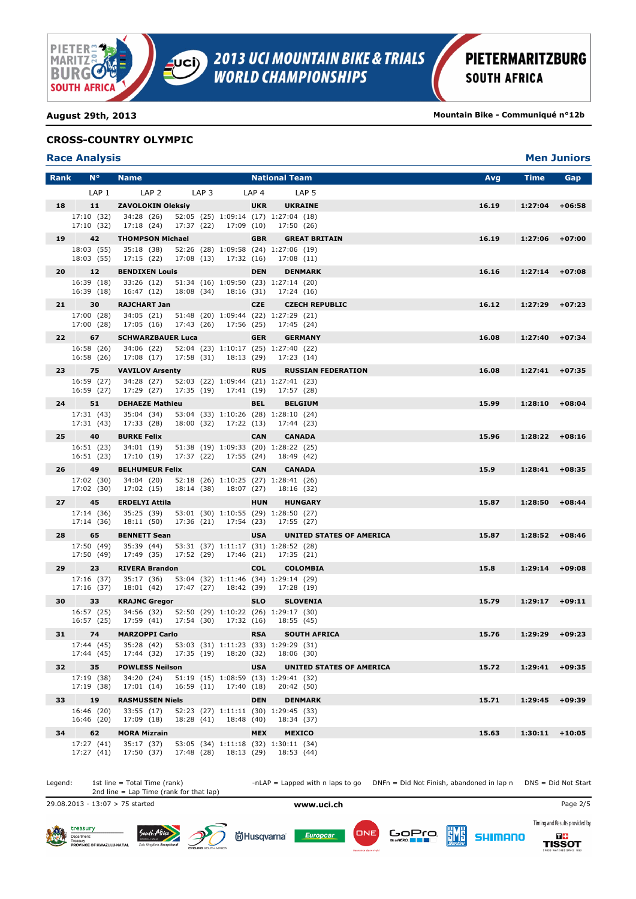

**August 29th, 2013 Mountain Bike - Communiqué n°12b**

### **CROSS-COUNTRY OLYMPIC**

| <b>Race Analysis</b> |
|----------------------|
|----------------------|

|             | <b>Race Analysis</b>     |                                                           |                       |            |                  |                                                       |       |                  | <b>Men Juniors</b> |
|-------------|--------------------------|-----------------------------------------------------------|-----------------------|------------|------------------|-------------------------------------------------------|-------|------------------|--------------------|
| <b>Rank</b> | $N^{\circ}$              | <b>Name</b>                                               |                       |            |                  | <b>National Team</b>                                  | Avg   | Time             | Gap                |
|             | LAP <sub>1</sub>         | LAP <sub>2</sub>                                          | LAP <sub>3</sub>      |            | LAP <sub>4</sub> | LAP <sub>5</sub>                                      |       |                  |                    |
| 18          | 11                       | <b>ZAVOLOKIN Oleksiy</b>                                  |                       |            | <b>UKR</b>       | <b>UKRAINE</b>                                        | 16.19 | 1:27:04          | $+06:58$           |
|             | 17:10 (32)<br>17:10 (32) | 34:28 (26)<br>17:18 (24)                                  | 17:37 (22)            | 17:09 (10) |                  | 52:05 (25) 1:09:14 (17) 1:27:04 (18)<br>17:50 (26)    |       |                  |                    |
| 19          | 42                       | <b>THOMPSON Michael</b>                                   |                       |            | <b>GBR</b>       | <b>GREAT BRITAIN</b>                                  | 16.19 | 1:27:06          | $+07:00$           |
|             | 18:03 (55)<br>18:03 (55) | 35:18(38)<br>17:15 (22)                                   | 17:08 (13) 17:32 (16) |            |                  | 52:26 (28) 1:09:58 (24) 1:27:06 (19)<br>17:08(11)     |       |                  |                    |
| 20          | 12                       | <b>BENDIXEN Louis</b>                                     |                       |            | <b>DEN</b>       | <b>DENMARK</b>                                        | 16.16 | 1:27:14          | $+07:08$           |
|             | 16:39 (18)<br>16:39 (18) | 33:26 (12)<br>16:47 (12)                                  | 18:08 (34)            | 18:16 (31) |                  | 51:34 (16) 1:09:50 (23) 1:27:14 (20)<br>17:24 (16)    |       |                  |                    |
| 21          | 30                       | <b>RAJCHART Jan</b>                                       |                       |            | <b>CZE</b>       | <b>CZECH REPUBLIC</b>                                 | 16.12 | 1:27:29          | $+07:23$           |
|             | 17:00 (28)<br>17:00 (28) | 34:05 (21)<br>17:05 (16)                                  | 17:43 (26)            | 17:56 (25) |                  | 51:48 (20) 1:09:44 (22) 1:27:29 (21)<br>17:45 (24)    |       |                  |                    |
| 22          | 67                       | <b>SCHWARZBAUER Luca</b>                                  |                       |            | <b>GER</b>       | <b>GERMANY</b>                                        | 16.08 | 1:27:40          | $+07:34$           |
|             | 16:58 (26)<br>16:58 (26) | 34:06 (22)<br>17:08 (17)                                  | 17:58 (31) 18:13 (29) |            |                  | 52:04 (23) 1:10:17 (25) 1:27:40 (22)<br>17:23 (14)    |       |                  |                    |
| 23          | 75                       | <b>VAVILOV Arsenty</b>                                    |                       |            | <b>RUS</b>       | <b>RUSSIAN FEDERATION</b>                             | 16.08 | $1:27:41$ +07:35 |                    |
|             | 16:59 (27)<br>16:59 (27) | 34:28 (27)<br>17:29 (27)                                  | 17:35 (19) 17:41 (19) |            |                  | 52:03 (22) 1:09:44 (21) 1:27:41 (23)<br>17:57 (28)    |       |                  |                    |
| 24          | 51                       | <b>DEHAEZE Mathieu</b>                                    |                       |            | <b>BEL</b>       | <b>BELGIUM</b>                                        | 15.99 | $1:28:10$ +08:04 |                    |
|             | 17:31(43)<br>17:31 (43)  | 35:04 (34)<br>17:33 (28)                                  | 18:00 (32) 17:22 (13) |            |                  | 53:04 (33) 1:10:26 (28) 1:28:10 (24)<br>17:44 (23)    |       |                  |                    |
| 25          | 40                       | <b>BURKE Felix</b>                                        |                       |            | <b>CAN</b>       | <b>CANADA</b>                                         | 15.96 | $1:28:22 +08:16$ |                    |
|             | 16:51 (23)<br>16:51 (23) | 34:01(19)<br>17:10 (19)                                   | 17:37 (22)            | 17:55 (24) |                  | 51:38 (19) 1:09:33 (20) 1:28:22 (25)<br>18:49 (42)    |       |                  |                    |
| 26          | 49                       | <b>BELHUMEUR Felix</b>                                    |                       |            | <b>CAN</b>       | <b>CANADA</b>                                         | 15.9  | 1:28:41          | $+08:35$           |
|             | 17:02 (30)<br>17:02 (30) | 34:04 (20)<br>17:02 (15)                                  | 18:14 (38) 18:07 (27) |            |                  | 52:18 (26) 1:10:25 (27) 1:28:41 (26)<br>18:16 (32)    |       |                  |                    |
| 27          | 45                       | <b>ERDELYI Attila</b>                                     |                       |            | <b>HUN</b>       | <b>HUNGARY</b>                                        | 15.87 | 1:28:50          | $+08:44$           |
|             | 17:14 (36)<br>17:14 (36) | 35:25 (39)<br>18:11 (50)                                  | 17:36 (21) 17:54 (23) |            |                  | 53:01 (30) 1:10:55 (29) 1:28:50 (27)<br>17:55 (27)    |       |                  |                    |
| 28          | 65                       | <b>BENNETT Sean</b>                                       |                       |            | <b>USA</b>       | UNITED STATES OF AMERICA                              | 15.87 | $1:28:52$ +08:46 |                    |
|             | 17:50 (49)<br>17:50 (49) | 35:39 (44)<br>17:49 (35)                                  | 17:52 (29) 17:46 (21) |            |                  | 53:31 (37) 1:11:17 (31) 1:28:52 (28)<br>17:35 (21)    |       |                  |                    |
| 29          | 23                       | <b>RIVERA Brandon</b>                                     |                       |            | <b>COL</b>       | <b>COLOMBIA</b>                                       | 15.8  | 1:29:14          | $+09:08$           |
|             | 17:16 (37)<br>17:16 (37) | 35:17 (36)<br>18:01(42)                                   | 17:47 (27) 18:42 (39) |            |                  | 53:04 (32) 1:11:46 (34) 1:29:14 (29)<br>17:28 (19)    |       |                  |                    |
| 30          | 33                       | <b>KRAJNC Gregor</b>                                      |                       |            | <b>SLO</b>       | <b>SLOVENIA</b>                                       | 15.79 | 1:29:17          | $+09:11$           |
|             | 16:57 (25)<br>16:57 (25) | 34:56 (32)<br>17:59 (41) 17:54 (30) 17:32 (16) 18:55 (45) |                       |            |                  | 52:50 (29) 1:10:22 (26) 1:29:17 (30)                  |       |                  |                    |
|             | 31 74                    | <b>MARZOPPI Carlo</b>                                     |                       |            |                  | <b>RSA SOUTH AFRICA</b>                               | 15.76 | $1:29:29$ +09:23 |                    |
|             | 17:44 (45)<br>17:44 (45) | 35:28 (42)<br>17:44 (32)                                  | 17:35 (19) 18:20 (32) |            |                  | 53:03 (31) 1:11:23 (33) 1:29:29 (31)<br>18:06 (30)    |       |                  |                    |
| 32          | 35                       | <b>POWLESS Neilson</b>                                    |                       |            | <b>USA</b>       | UNITED STATES OF AMERICA                              | 15.72 | $1:29:41$ +09:35 |                    |
|             | 17:19 (38)<br>17:19 (38) | 34:20 (24)<br>17:01(14)                                   | 16:59 (11)            | 17:40 (18) |                  | 51:19 (15) 1:08:59 (13) 1:29:41 (32)<br>20:42 (50)    |       |                  |                    |
| 33          | 19                       | <b>RASMUSSEN Niels</b>                                    |                       |            | <b>DEN</b>       | <b>DENMARK</b>                                        | 15.71 | 1:29:45          | $+09:39$           |
|             | 16:46 (20)               | 33:55 (17)                                                |                       |            |                  | 52:23 (27) 1:11:11 (30) 1:29:45 (33)                  |       |                  |                    |
|             | 16:46 (20)               | 17:09 (18)                                                | 18:28 (41)            | 18:48 (40) |                  | 18:34 (37)                                            |       |                  |                    |
| 34          | 62<br>17:27 (41)         | <b>MORA Mizrain</b><br>35:17 (37)                         |                       |            | <b>MEX</b>       | <b>MEXICO</b><br>53:05 (34) 1:11:18 (32) 1:30:11 (34) | 15.63 | 1:30:11          | $+10:05$           |
|             | 17:27 (41)               | 17:50 (37)                                                | 17:48 (28)            | 18:13 (29) |                  | 18:53 (44)                                            |       |                  |                    |

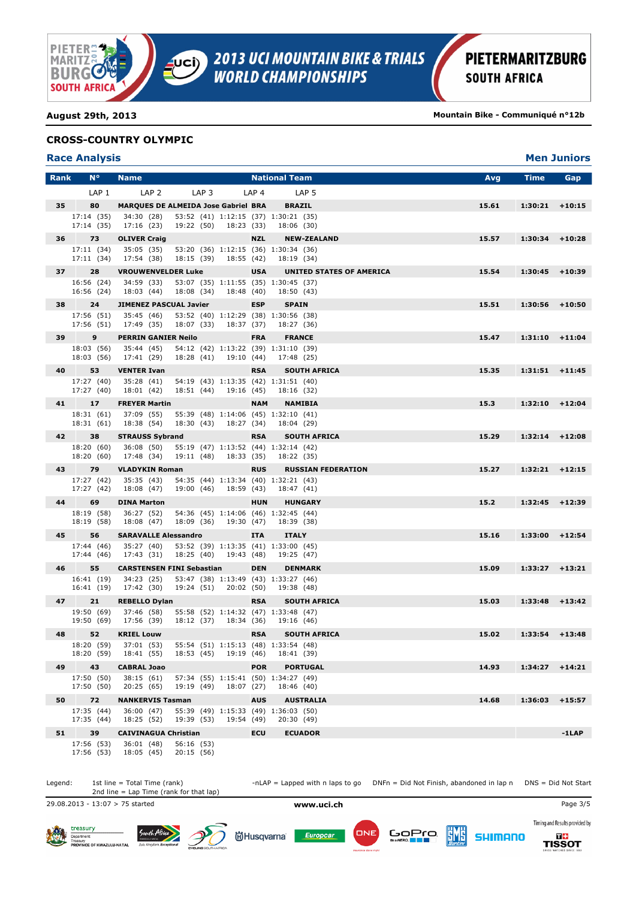

**DE**<br>TISSOT

**SHIMANO** 

**August 29th, 2013 Mountain Bike - Communiqué n°12b**

### **CROSS-COUNTRY OLYMPIC**

| <b>Race Analysis</b> |
|----------------------|
|----------------------|

Department:<br>Treasury<br>PROVINCE OF KWAZULU-NATA

|             | <b>Race Analysis</b>     |                               |                                                                                     |                  |                                 |                    | <b>Men Juniors</b> |
|-------------|--------------------------|-------------------------------|-------------------------------------------------------------------------------------|------------------|---------------------------------|--------------------|--------------------|
| <b>Rank</b> | $N^{\circ}$              | <b>Name</b>                   |                                                                                     |                  | <b>National Team</b>            | Avg<br><b>Time</b> | Gap                |
|             | LAP <sub>1</sub>         | LAP <sub>2</sub>              | LAP <sub>3</sub>                                                                    | LAP <sub>4</sub> | LAP <sub>5</sub>                |                    |                    |
| 35          | 80                       |                               | <b>MARQUES DE ALMEIDA Jose Gabriel BRA</b>                                          |                  | <b>BRAZIL</b>                   | 15.61              | $1:30:21$ +10:15   |
|             | 17:14 (35)<br>17:14 (35) | 34:30 (28)<br>17:16 (23)      | 53:52 (41) 1:12:15 (37) 1:30:21 (35)<br>19:22 (50) 18:23 (33)                       |                  | 18:06 (30)                      |                    |                    |
| 36          | 73                       | <b>OLIVER Craig</b>           |                                                                                     | <b>NZL</b>       | <b>NEW-ZEALAND</b>              | 15.57<br>1:30:34   | $+10:28$           |
|             | 17:11 (34)<br>17:11(34)  | 35:05 (35)<br>17:54 (38)      | 53:20 (36) 1:12:15 (36) 1:30:34 (36)<br>18:15 (39) 18:55 (42)                       |                  | 18:19 (34)                      |                    |                    |
| 37          | 28                       | <b>VROUWENVELDER Luke</b>     |                                                                                     | <b>USA</b>       | <b>UNITED STATES OF AMERICA</b> | 15.54<br>1:30:45   | $+10:39$           |
|             | 16:56 (24)<br>16:56 (24) | 34:59 (33)<br>18:03 (44)      | 53:07 (35) 1:11:55 (35) 1:30:45 (37)<br>18:08 (34)                                  | 18:48 (40)       | 18:50 (43)                      |                    |                    |
| 38          | 24                       | <b>JIMENEZ PASCUAL Javier</b> |                                                                                     | <b>ESP</b>       | <b>SPAIN</b>                    | 15.51              | $1:30:56$ +10:50   |
|             | 17:56 (51)<br>17:56 (51) | 35:45 (46)<br>17:49 (35)      | 53:52 (40) 1:12:29 (38) 1:30:56 (38)<br>18:07 (33)<br>18:37 (37)                    |                  | 18:27 (36)                      |                    |                    |
| 39          | 9                        | <b>PERRIN GANIER Neilo</b>    |                                                                                     | <b>FRA</b>       | <b>FRANCE</b>                   | 15.47              | $1:31:10 + 11:04$  |
|             | 18:03 (56)<br>18:03 (56) | 35:44 (45)<br>17:41 (29)      | 54:12 (42) 1:13:22 (39) 1:31:10 (39)<br>18:28 (41) 19:10 (44)                       |                  | 17:48 (25)                      |                    |                    |
| 40          | 53                       | <b>VENTER Ivan</b>            |                                                                                     | <b>RSA</b>       | <b>SOUTH AFRICA</b>             | 15.35              | $1:31:51$ +11:45   |
|             | 17:27 (40)<br>17:27 (40) | 35:28 (41)<br>18:01 (42)      | 54:19 (43) 1:13:35 (42) 1:31:51 (40)<br>18:51 (44) 19:16 (45)                       |                  | 18:16 (32)                      |                    |                    |
| 41          | 17                       | <b>FREYER Martin</b>          |                                                                                     | <b>NAM</b>       | <b>NAMIBIA</b>                  | 15.3               | $1:32:10 + 12:04$  |
|             | 18:31 (61)<br>18:31 (61) | 37:09 (55)<br>18:38 (54)      | 55:39 (48) 1:14:06 (45) 1:32:10 (41)<br>18:30 (43) 18:27 (34)                       |                  | 18:04 (29)                      |                    |                    |
| 42          | 38                       | <b>STRAUSS Sybrand</b>        |                                                                                     | <b>RSA</b>       | <b>SOUTH AFRICA</b>             | 15.29              | $1:32:14$ +12:08   |
|             | 18:20 (60)<br>18:20 (60) | 36:08 (50)<br>17:48 (34)      | 55:19 (47) 1:13:52 (44) 1:32:14 (42)<br>19:11 (48)<br>18:33 (35)                    |                  | 18:22 (35)                      |                    |                    |
| 43          | 79                       | <b>VLADYKIN Roman</b>         |                                                                                     | <b>RUS</b>       | <b>RUSSIAN FEDERATION</b>       | 15.27              | $1:32:21$ +12:15   |
|             | 17:27 (42)<br>17:27 (42) | 35:35 (43)<br>18:08 (47)      | 54:35 (44) 1:13:34 (40) 1:32:21 (43)<br>19:00 (46) 18:59 (43)                       |                  | 18:47 (41)                      |                    |                    |
| 44          | 69                       | <b>DINA Marton</b>            |                                                                                     | <b>HUN</b>       | <b>HUNGARY</b>                  | 15.2<br>1:32:45    | $+12:39$           |
|             | 18:19 (58)<br>18:19 (58) | 36:27 (52)<br>18:08 (47)      | 54:36 (45) 1:14:06 (46) 1:32:45 (44)<br>18:09 (36)<br>19:30 (47)                    |                  | 18:39 (38)                      |                    |                    |
| 45          | 56                       | <b>SARAVALLE Alessandro</b>   |                                                                                     | <b>ITA</b>       | <b>ITALY</b>                    | 15.16              | $1:33:00$ +12:54   |
|             | 17:44 (46)<br>17:44 (46) | 35:27 (40)<br>17:43 (31)      | 53:52 (39) 1:13:35 (41) 1:33:00 (45)<br>18:25 (40) 19:43 (48)                       |                  | 19:25 (47)                      |                    |                    |
| 46          | 55                       |                               | <b>CARSTENSEN FINI Sebastian</b>                                                    | <b>DEN</b>       | <b>DENMARK</b>                  | 15.09              | $1:33:27$ +13:21   |
|             | 16:41 (19)<br>16:41 (19) | 34:23 (25)<br>17:42 (30)      | 53:47 (38) 1:13:49 (43) 1:33:27 (46)<br>19:24 (51) 20:02 (50)                       |                  | 19:38 (48)                      |                    |                    |
| 47          | 21                       | <b>REBELLO Dylan</b>          |                                                                                     | <b>RSA</b>       | <b>SOUTH AFRICA</b>             | 15.03<br>1:33:48   | $+13:42$           |
|             | 19:50 (69)<br>19:50 (69) | 37:46 (58)                    | 55:58 (52) 1:14:32 (47) 1:33:48 (47)<br>17:56 (39) 18:12 (37) 18:34 (36) 19:16 (46) |                  |                                 |                    |                    |
|             | 52                       | <b>KRIEL Louw</b>             |                                                                                     |                  | <b>RSA SOUTH AFRICA</b>         | 15.02              | $1:33:54$ +13:48   |
|             | 18:20 (59)<br>18:20 (59) | 37:01 (53)<br>18:41 (55)      | 55:54 (51) 1:15:13 (48) 1:33:54 (48)<br>18:53 (45) 19:19 (46)                       |                  | 18:41 (39)                      |                    |                    |
| 49          | 43                       | <b>CABRAL Joao</b>            |                                                                                     | <b>POR</b>       | <b>PORTUGAL</b>                 | 14.93<br>1:34:27   | $+14:21$           |
|             | 17:50 (50)<br>17:50 (50) | 38:15(61)<br>20:25(65)        | 57:34 (55) 1:15:41 (50) 1:34:27 (49)<br>19:19 (49)<br>18:07 (27)                    |                  | 18:46 (40)                      |                    |                    |
| 50          | 72                       | <b>NANKERVIS Tasman</b>       |                                                                                     | <b>AUS</b>       | <b>AUSTRALIA</b>                | 14.68<br>1:36:03   | $+15:57$           |
|             | 17:35 (44)<br>17:35 (44) | 36:00 (47)<br>18:25 (52)      | 55:39 (49) 1:15:33 (49) 1:36:03 (50)<br>19:39 (53)<br>19:54 (49)                    |                  | 20:30 (49)                      |                    |                    |
| 51          | 39                       | <b>CAIVINAGUA Christian</b>   |                                                                                     | <b>ECU</b>       | <b>ECUADOR</b>                  |                    | $-1$ LAP           |
|             | 17:56 (53)               | 36:01 (48)                    | 56:16 (53)                                                                          |                  |                                 |                    |                    |
|             | 17:56 (53)               | 18:05 (45)                    | 20:15 (56)                                                                          |                  |                                 |                    |                    |



Europcar

**尚Husqvarna**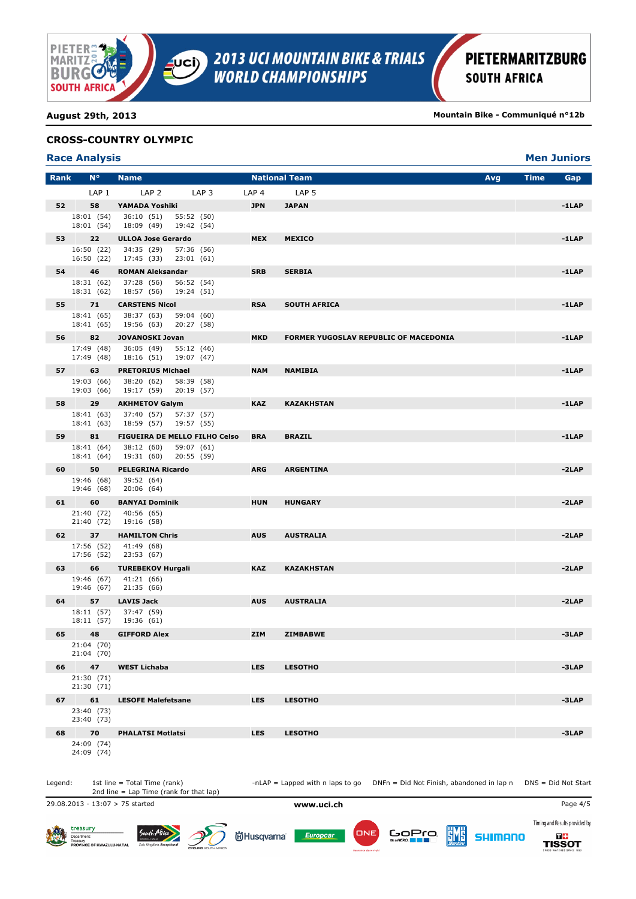

**August 29th, 2013 Mountain Bike - Communiqué n°12b**

### **CROSS-COUNTRY OLYMPIC**

## **Race Analysis Men Juniors**

| <b>Rank</b> | $N^{\circ}$              | <b>Name</b>                                          |                  | <b>National Team</b>                         | Avg | <b>Time</b> | Gap      |
|-------------|--------------------------|------------------------------------------------------|------------------|----------------------------------------------|-----|-------------|----------|
|             | LAP <sub>1</sub>         | LAP <sub>2</sub><br>LAP <sub>3</sub>                 | LAP <sub>4</sub> | LAP <sub>5</sub>                             |     |             |          |
| 52          | 58                       | YAMADA Yoshiki                                       | <b>JPN</b>       | <b>JAPAN</b>                                 |     |             | $-1$ LAP |
|             | 18:01 (54)<br>18:01 (54) | 36:10 (51)<br>55:52 (50)<br>18:09 (49)<br>19:42 (54) |                  |                                              |     |             |          |
| 53          | 22                       | <b>ULLOA Jose Gerardo</b>                            | <b>MEX</b>       | <b>MEXICO</b>                                |     |             | $-1$ LAP |
|             | 16:50 (22)<br>16:50 (22) | 34:35 (29)<br>57:36 (56)<br>17:45 (33)<br>23:01 (61) |                  |                                              |     |             |          |
| 54          | 46                       | <b>ROMAN Aleksandar</b>                              | <b>SRB</b>       | <b>SERBIA</b>                                |     |             | $-1$ LAP |
|             | 18:31 (62)<br>18:31 (62) | 37:28 (56)<br>56:52 (54)<br>19:24 (51)<br>18:57 (56) |                  |                                              |     |             |          |
| 55          | 71                       | <b>CARSTENS Nicol</b>                                | <b>RSA</b>       | <b>SOUTH AFRICA</b>                          |     |             | $-1$ LAP |
|             | 18:41 (65)<br>18:41 (65) | 38:37 (63)<br>59:04 (60)<br>19:56 (63)<br>20:27 (58) |                  |                                              |     |             |          |
| 56          | 82                       | <b>JOVANOSKI Jovan</b>                               | <b>MKD</b>       | <b>FORMER YUGOSLAV REPUBLIC OF MACEDONIA</b> |     |             | $-1$ LAP |
|             | 17:49 (48)<br>17:49 (48) | 36:05 (49)<br>55:12 (46)<br>19:07 (47)<br>18:16 (51) |                  |                                              |     |             |          |
| 57          | 63                       | <b>PRETORIUS Michael</b>                             | <b>NAM</b>       | <b>NAMIBIA</b>                               |     |             | $-1$ LAP |
|             | 19:03 (66)<br>19:03 (66) | 38:20 (62)<br>58:39 (58)<br>19:17 (59)<br>20:19 (57) |                  |                                              |     |             |          |
| 58          | 29                       | <b>AKHMETOV Galym</b>                                | <b>KAZ</b>       | <b>KAZAKHSTAN</b>                            |     |             | $-1$ LAP |
|             | 18:41 (63)<br>18:41 (63) | 37:40 (57)<br>57:37 (57)<br>18:59 (57)<br>19:57 (55) |                  |                                              |     |             |          |
| 59          | 81                       | FIGUEIRA DE MELLO FILHO Celso                        | <b>BRA</b>       | <b>BRAZIL</b>                                |     |             | $-1$ LAP |
|             | 18:41 (64)<br>18:41 (64) | 38:12 (60)<br>59:07 (61)<br>19:31 (60)<br>20:55 (59) |                  |                                              |     |             |          |
| 60          | 50                       | PELEGRINA Ricardo                                    | <b>ARG</b>       | <b>ARGENTINA</b>                             |     |             | $-2LAP$  |
|             | 19:46 (68)<br>19:46 (68) | 39:52 (64)<br>20:06 (64)                             |                  |                                              |     |             |          |
| 61          | 60                       | <b>BANYAI Dominik</b>                                | <b>HUN</b>       | <b>HUNGARY</b>                               |     |             | $-2LAP$  |
|             | 21:40 (72)<br>21:40 (72) | 40:56 (65)<br>19:16 (58)                             |                  |                                              |     |             |          |
| 62          | 37                       | <b>HAMILTON Chris</b>                                | <b>AUS</b>       | <b>AUSTRALIA</b>                             |     |             | $-2LAP$  |
|             | 17:56 (52)               | 17:56 (52) 41:49 (68)<br>23:53 (67)                  |                  |                                              |     |             |          |
| 63          | 66                       | <b>TUREBEKOV Hurgali</b>                             | <b>KAZ</b>       | <b>KAZAKHSTAN</b>                            |     |             | $-2LAP$  |
|             | 19:46 (67)<br>19:46 (67) | 41:21 (66)<br>21:35 (66)                             |                  |                                              |     |             |          |
| 64          | 57                       | <b>LAVIS Jack</b>                                    | <b>AUS</b>       | <b>AUSTRALIA</b>                             |     |             | $-2LAP$  |
|             | 18:11 (57)               | 37:47 (59)                                           |                  |                                              |     |             |          |
|             | 18:11 (57)               | 19:36 (61)                                           |                  |                                              |     |             |          |
| 65          | 48                       | <b>GIFFORD Alex</b>                                  | ZIM              | <b>ZIMBABWE</b>                              |     |             | $-3LAP$  |
|             | 21:04 (70)<br>21:04 (70) |                                                      |                  |                                              |     |             |          |
| 66          | 47                       | <b>WEST Lichaba</b>                                  | <b>LES</b>       | <b>LESOTHO</b>                               |     |             | $-3LAP$  |
|             | 21:30 (71)<br>21:30 (71) |                                                      |                  |                                              |     |             |          |
| 67          | 61                       | <b>LESOFE Malefetsane</b>                            | <b>LES</b>       | <b>LESOTHO</b>                               |     |             | -3LAP    |
|             | 23:40 (73)<br>23:40 (73) |                                                      |                  |                                              |     |             |          |
| 68          | 70                       |                                                      | <b>LES</b>       |                                              |     |             | $-3LAP$  |
|             | 24:09 (74)               | <b>PHALATSI Motlatsi</b>                             |                  | <b>LESOTHO</b>                               |     |             |          |
|             | 24:09 (74)               |                                                      |                  |                                              |     |             |          |

2nd line = Lap Time (rank for that lap)

South Afric

Legend: 1st line = Total Time (rank) -nLAP = Lapped with n laps to go DNFn = Did Not Finish, abandoned in lap n DNS = Did Not Start

29.08.2013 - 13:07 > 75 started **www.uci.ch** Page 4/5

Department:<br>Treasury<br>PROVINCE OF KWAZULU-NATA

treasury





ONE

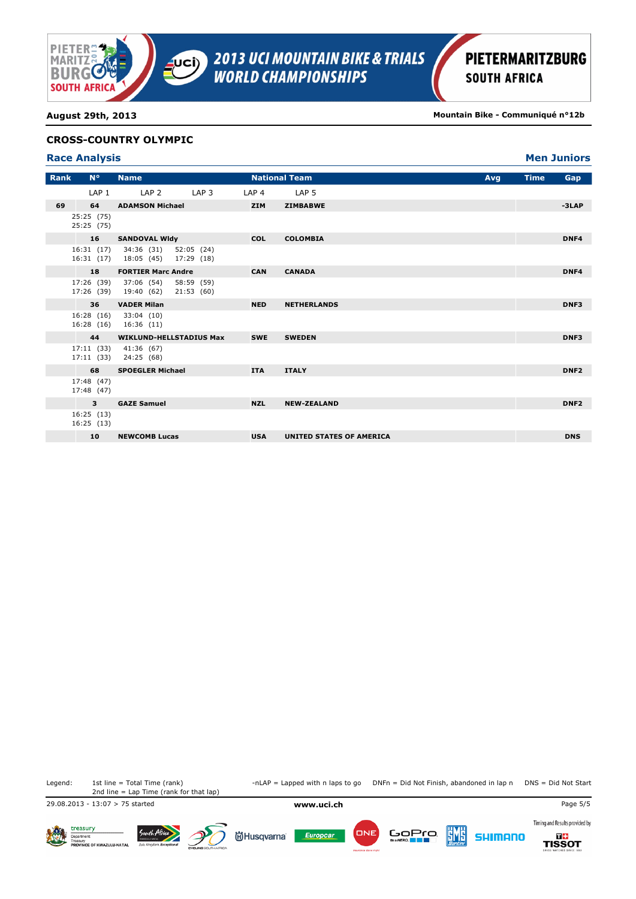

**Men Juniors** 

**August 29th, 2013 Mountain Bike - Communiqué n°12b**

### **CROSS-COUNTRY OLYMPIC**

| <b>Race Analysis</b> |  |
|----------------------|--|
|                      |  |

| Rank | $N^{\circ}$              | <b>Name</b>                                               |                         |                  | <b>National Team</b>     | Avg | <b>Time</b> | Gap              |
|------|--------------------------|-----------------------------------------------------------|-------------------------|------------------|--------------------------|-----|-------------|------------------|
|      | LAP <sub>1</sub>         | LAP <sub>2</sub>                                          | LAP <sub>3</sub>        | LAP <sub>4</sub> | LAP 5                    |     |             |                  |
| 69   | 64                       | <b>ADAMSON Michael</b>                                    |                         | <b>ZIM</b>       | <b>ZIMBABWE</b>          |     |             | $-3LAP$          |
|      | 25:25 (75)<br>25:25 (75) |                                                           |                         |                  |                          |     |             |                  |
|      | 16                       | <b>SANDOVAL WIdy</b>                                      |                         | <b>COL</b>       | <b>COLOMBIA</b>          |     |             | DNF4             |
|      | 16:31(17)                | 34:36 (31) 52:05 (24)<br>16:31 (17) 18:05 (45) 17:29 (18) |                         |                  |                          |     |             |                  |
|      | 18                       | <b>FORTIER Marc Andre</b>                                 |                         | <b>CAN</b>       | <b>CANADA</b>            |     |             | DNF4             |
|      |                          | 17:26 (39) 37:06 (54)<br>17:26 (39) 19:40 (62)            | 58:59 (59)<br>21:53(60) |                  |                          |     |             |                  |
|      | 36                       | <b>VADER Milan</b>                                        |                         | <b>NED</b>       | <b>NETHERLANDS</b>       |     |             | DNF3             |
|      | 16:28(16)                | 33:04 (10)<br>16:28 (16) 16:36 (11)                       |                         |                  |                          |     |             |                  |
|      | 44                       | <b>WIKLUND-HELLSTADIUS Max</b>                            |                         | <b>SWE</b>       | <b>SWEDEN</b>            |     |             | DNF3             |
|      |                          | 17:11 (33) 41:36 (67)<br>17:11 (33) 24:25 (68)            |                         |                  |                          |     |             |                  |
|      | 68                       | <b>SPOEGLER Michael</b>                                   |                         | <b>ITA</b>       | <b>ITALY</b>             |     |             | DNF <sub>2</sub> |
|      | 17:48 (47)<br>17:48 (47) |                                                           |                         |                  |                          |     |             |                  |
|      | $\mathbf{3}$             | <b>GAZE Samuel</b>                                        |                         | <b>NZL</b>       | <b>NEW-ZEALAND</b>       |     |             | DNF <sub>2</sub> |
|      | 16:25 (13)<br>16:25 (13) |                                                           |                         |                  |                          |     |             |                  |
|      | 10                       | <b>NEWCOMB Lucas</b>                                      |                         | <b>USA</b>       | UNITED STATES OF AMERICA |     |             | <b>DNS</b>       |

2nd line = Lap Time (rank for that lap)

South Afric

Legend: 1st line = Total Time (rank) -nLAP = Lapped with n laps to go DNFn = Did Not Finish, abandoned in lap n DNS = Did Not Start

29.08.2013 - 13:07 > 75 started **www.uci.ch** Page 5/5







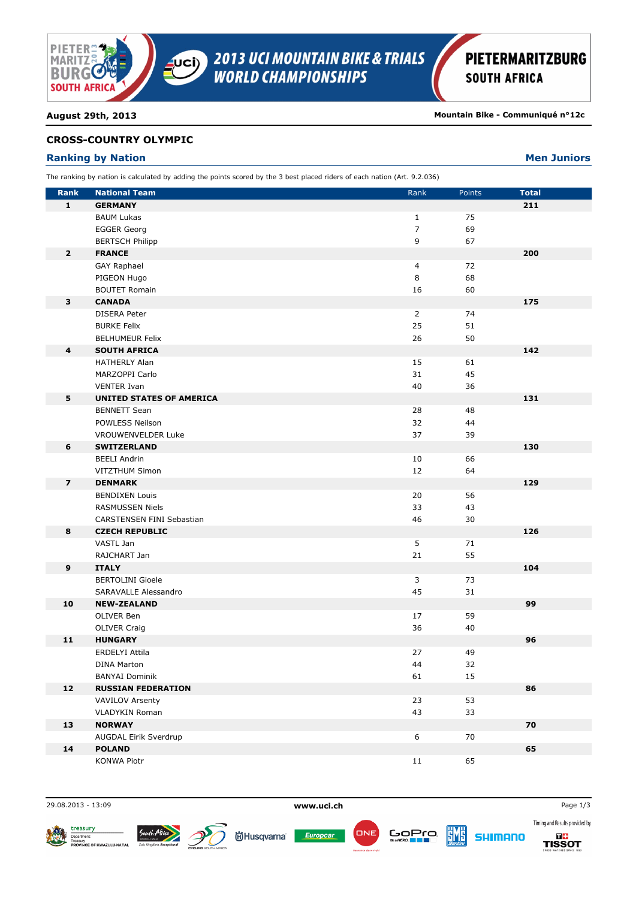

**August 29th, 2013 Mountain Bike - Communiqué n°12c**

## **CROSS-COUNTRY OLYMPIC**

# **Ranking by Nation Men Juniors Men Juniors**

| The ranking by nation is calculated by adding the points scored by the 3 best placed riders of each nation (Art. 9.2.036) |  |  |  |
|---------------------------------------------------------------------------------------------------------------------------|--|--|--|
|---------------------------------------------------------------------------------------------------------------------------|--|--|--|

| <b>Rank</b>             | <b>National Team</b>            | Rank           | Points | <b>Total</b> |
|-------------------------|---------------------------------|----------------|--------|--------------|
| $\mathbf{1}$            | <b>GERMANY</b>                  |                |        | 211          |
|                         | <b>BAUM Lukas</b>               | $\mathbf{1}$   | 75     |              |
|                         | <b>EGGER Georg</b>              | $\overline{7}$ | 69     |              |
|                         | <b>BERTSCH Philipp</b>          | 9              | 67     |              |
| $\overline{2}$          | <b>FRANCE</b>                   |                |        | 200          |
|                         | <b>GAY Raphael</b>              | $\overline{4}$ | 72     |              |
|                         | PIGEON Hugo                     | 8              | 68     |              |
|                         | <b>BOUTET Romain</b>            | 16             | 60     |              |
| 3                       | <b>CANADA</b>                   |                |        | 175          |
|                         | DISERA Peter                    | $\overline{2}$ | 74     |              |
|                         | <b>BURKE Felix</b>              | 25             | 51     |              |
|                         | <b>BELHUMEUR Felix</b>          | 26             | 50     |              |
| $\overline{\mathbf{4}}$ | <b>SOUTH AFRICA</b>             |                |        | 142          |
|                         | <b>HATHERLY Alan</b>            | 15             | 61     |              |
|                         | MARZOPPI Carlo                  | 31             | 45     |              |
|                         | <b>VENTER Ivan</b>              | 40             | 36     |              |
| 5                       | <b>UNITED STATES OF AMERICA</b> |                |        | 131          |
|                         | <b>BENNETT Sean</b>             | 28             | 48     |              |
|                         | POWLESS Neilson                 | 32             | 44     |              |
|                         | VROUWENVELDER Luke              | 37             | 39     |              |
| 6                       | <b>SWITZERLAND</b>              |                |        | 130          |
|                         | <b>BEELI Andrin</b>             | 10             | 66     |              |
|                         | VITZTHUM Simon                  | 12             | 64     |              |
| $\overline{\mathbf{z}}$ | <b>DENMARK</b>                  |                |        | 129          |
|                         | <b>BENDIXEN Louis</b>           | 20             | 56     |              |
|                         | RASMUSSEN Niels                 | 33             | 43     |              |
|                         | CARSTENSEN FINI Sebastian       | 46             | 30     |              |
| 8                       | <b>CZECH REPUBLIC</b>           |                |        | 126          |
|                         | VASTL Jan                       | 5              | 71     |              |
|                         | RAJCHART Jan                    | 21             | 55     |              |
| $\boldsymbol{9}$        | <b>ITALY</b>                    |                |        | 104          |
|                         | <b>BERTOLINI Gioele</b>         | 3              | 73     |              |
|                         | SARAVALLE Alessandro            | 45             | 31     |              |
| 10                      | <b>NEW-ZEALAND</b>              |                |        | 99           |
|                         | OLIVER Ben                      | 17             | 59     |              |
|                         | <b>OLIVER Craig</b>             | 36             | 40     |              |
| 11                      | <b>HUNGARY</b>                  |                |        | 96           |
|                         | ERDELYI Attila                  | 27             | 49     |              |
|                         | <b>DINA Marton</b>              | 44             | 32     |              |
|                         | <b>BANYAI Dominik</b>           | 61             | 15     |              |
| 12                      | <b>RUSSIAN FEDERATION</b>       |                |        | 86           |
|                         | <b>VAVILOV Arsenty</b>          | 23             | 53     |              |
|                         | <b>VLADYKIN Roman</b>           | 43             | 33     |              |
| 13                      | <b>NORWAY</b>                   |                |        | 70           |
|                         | AUGDAL Eirik Sverdrup           | 6              | 70     |              |
| 14                      | <b>POLAND</b>                   |                |        | 65           |
|                         | <b>KONWA Piotr</b>              | 11             | 65     |              |

29.08.2013 - 13:09 **www.uci.ch** Page 1/3





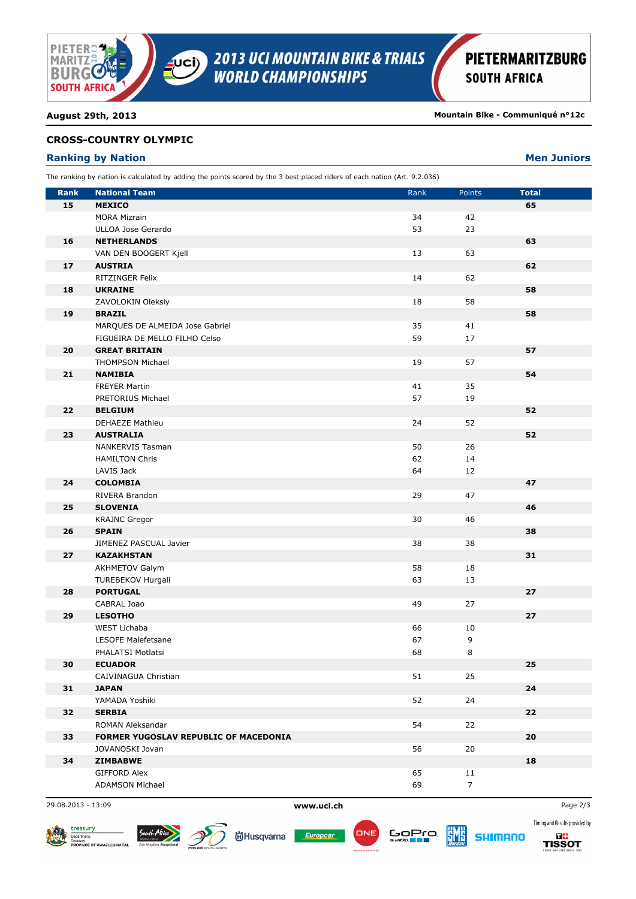

**August 29th, 2013 Mountain Bike - Communiqué n°12c**

## **CROSS-COUNTRY OLYMPIC**

# **Ranking by Nation Men Juniors Men Juniors**

| The ranking by nation is calculated by adding the points scored by the 3 best placed riders of each nation (Art. 9.2.036) |                                       |      |                |              |  |  |
|---------------------------------------------------------------------------------------------------------------------------|---------------------------------------|------|----------------|--------------|--|--|
| <b>Rank</b>                                                                                                               | <b>National Team</b>                  | Rank | Points         | <b>Total</b> |  |  |
| 15                                                                                                                        | <b>MEXICO</b>                         |      |                | 65           |  |  |
|                                                                                                                           | <b>MORA Mizrain</b>                   | 34   | 42             |              |  |  |
|                                                                                                                           | ULLOA Jose Gerardo                    | 53   | 23             |              |  |  |
| 16                                                                                                                        | <b>NETHERLANDS</b>                    |      |                | 63           |  |  |
|                                                                                                                           | VAN DEN BOOGERT Kjell                 | 13   | 63             |              |  |  |
| 17                                                                                                                        | <b>AUSTRIA</b>                        |      |                | 62           |  |  |
|                                                                                                                           | <b>RITZINGER Felix</b>                | 14   | 62             |              |  |  |
| 18                                                                                                                        | <b>UKRAINE</b>                        |      |                | 58           |  |  |
|                                                                                                                           | ZAVOLOKIN Oleksiy                     | 18   | 58             |              |  |  |
| 19                                                                                                                        | <b>BRAZIL</b>                         |      |                | 58           |  |  |
|                                                                                                                           | MARQUES DE ALMEIDA Jose Gabriel       | 35   | 41             |              |  |  |
|                                                                                                                           | FIGUEIRA DE MELLO FILHO Celso         | 59   | 17             |              |  |  |
| 20                                                                                                                        | <b>GREAT BRITAIN</b>                  |      |                | 57           |  |  |
|                                                                                                                           | <b>THOMPSON Michael</b>               | 19   | 57             |              |  |  |
| 21                                                                                                                        | <b>NAMIBIA</b>                        |      |                | 54           |  |  |
|                                                                                                                           | <b>FREYER Martin</b>                  | 41   | 35             |              |  |  |
|                                                                                                                           | PRETORIUS Michael                     | 57   | 19             |              |  |  |
| 22                                                                                                                        | <b>BELGIUM</b>                        |      |                | 52           |  |  |
|                                                                                                                           | <b>DEHAEZE Mathieu</b>                | 24   | 52             |              |  |  |
| 23                                                                                                                        | <b>AUSTRALIA</b>                      |      |                | 52           |  |  |
|                                                                                                                           | <b>NANKERVIS Tasman</b>               | 50   | 26             |              |  |  |
|                                                                                                                           | <b>HAMILTON Chris</b>                 | 62   | 14             |              |  |  |
|                                                                                                                           | LAVIS Jack                            | 64   | 12             |              |  |  |
| 24                                                                                                                        | <b>COLOMBIA</b>                       |      |                | 47           |  |  |
|                                                                                                                           | RIVERA Brandon                        | 29   | 47             |              |  |  |
| 25                                                                                                                        | <b>SLOVENIA</b>                       |      |                | 46           |  |  |
|                                                                                                                           | <b>KRAJNC Gregor</b>                  | 30   | 46             |              |  |  |
| 26                                                                                                                        | <b>SPAIN</b>                          |      |                | 38           |  |  |
|                                                                                                                           | JIMENEZ PASCUAL Javier                | 38   | 38             |              |  |  |
| 27                                                                                                                        | <b>KAZAKHSTAN</b>                     |      |                | 31           |  |  |
|                                                                                                                           | <b>AKHMETOV Galym</b>                 | 58   | 18             |              |  |  |
|                                                                                                                           | TUREBEKOV Hurgali                     | 63   | 13             |              |  |  |
| 28                                                                                                                        | <b>PORTUGAL</b>                       |      |                | 27           |  |  |
|                                                                                                                           | CABRAL Joao                           | 49   | 27             |              |  |  |
| 29                                                                                                                        | <b>LESOTHO</b>                        |      |                | 27           |  |  |
|                                                                                                                           | WEST Lichaba                          | 66   | 10             |              |  |  |
|                                                                                                                           | <b>LESOFE Malefetsane</b>             | 67   | 9              |              |  |  |
|                                                                                                                           | PHALATSI Motlatsi                     | 68   | $\,8\,$        |              |  |  |
| 30                                                                                                                        | <b>ECUADOR</b>                        |      |                | 25           |  |  |
|                                                                                                                           | CAIVINAGUA Christian                  | 51   | 25             |              |  |  |
| 31                                                                                                                        | <b>JAPAN</b>                          |      |                | 24           |  |  |
|                                                                                                                           | YAMADA Yoshiki                        | 52   | 24             |              |  |  |
| 32                                                                                                                        | <b>SERBIA</b>                         |      |                | 22           |  |  |
|                                                                                                                           | ROMAN Aleksandar                      | 54   | 22             |              |  |  |
| 33                                                                                                                        | FORMER YUGOSLAV REPUBLIC OF MACEDONIA |      |                | 20           |  |  |
|                                                                                                                           | JOVANOSKI Jovan                       | 56   | 20             |              |  |  |
| 34                                                                                                                        | <b>ZIMBABWE</b>                       |      |                | 18           |  |  |
|                                                                                                                           | GIFFORD Alex                          | 65   | 11             |              |  |  |
|                                                                                                                           | <b>ADAMSON Michael</b>                | 69   | $\overline{7}$ |              |  |  |

29.08.2013 - 13:09 **www.uci.ch** Page 2/3





Europcar

**尚Husqvarna**